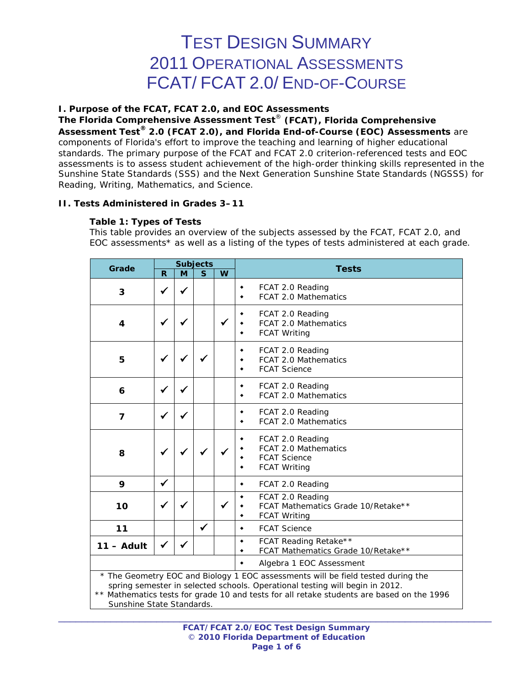# TEST DESIGN SUMMARY 2011 OPERATIONAL ASSESSMENTS FCAT/ FCAT 2.0/ END-OF-COURSE

## **I. Purpose of the FCAT, FCAT 2.0, and EOC Assessments**

**The Florida Comprehensive Assessment Test**® **(FCAT), Florida Comprehensive Assessment Test® 2.0 (FCAT 2.0), and Florida End-of-Course (EOC) Assessments** are components of Florida's effort to improve the teaching and learning of higher educational standards. The primary purpose of the FCAT and FCAT 2.0 criterion-referenced tests and EOC assessments is to assess student achievement of the high-order thinking skills represented in the Sunshine State Standards (SSS) and the Next Generation Sunshine State Standards (NGSSS) for Reading, Writing, Mathematics, and Science.

## **II. Tests Administered in Grades 3–11**

#### **Table 1: Types of Tests**

*This table provides an overview of the subjects assessed by the FCAT, FCAT 2.0, and EOC assessments\* as well as a listing of the types of tests administered at each grade.*

| Grade                     |                                       |              | <b>Subjects</b> |   |                                                                                                                                                                                                                                                               |
|---------------------------|---------------------------------------|--------------|-----------------|---|---------------------------------------------------------------------------------------------------------------------------------------------------------------------------------------------------------------------------------------------------------------|
|                           | $\mathbf R$                           | M            | $\mathbf S$     | W | <b>Tests</b>                                                                                                                                                                                                                                                  |
| 3                         | ✔                                     |              |                 |   | FCAT 2.0 Reading<br>۰<br><b>FCAT 2.0 Mathematics</b><br>٠                                                                                                                                                                                                     |
| 4                         | ✔                                     | √            |                 | ✓ | FCAT 2.0 Reading<br>FCAT 2.0 Mathematics<br><b>FCAT Writing</b><br>$\bullet$                                                                                                                                                                                  |
| 5                         | ✔                                     |              |                 |   | FCAT 2.0 Reading<br>FCAT 2.0 Mathematics<br><b>FCAT Science</b><br>٠                                                                                                                                                                                          |
| 6                         | ✔                                     | ✔            |                 |   | FCAT 2.0 Reading<br>٠<br>FCAT 2.0 Mathematics<br>٠                                                                                                                                                                                                            |
| $\overline{7}$            | ✔                                     |              |                 |   | FCAT 2.0 Reading<br>٠<br>FCAT 2.0 Mathematics<br>$\bullet$                                                                                                                                                                                                    |
| 8                         | ✔                                     | $\checkmark$ | $\checkmark$    |   | FCAT 2.0 Reading<br><b>FCAT 2.0 Mathematics</b><br><b>FCAT Science</b><br><b>FCAT Writing</b>                                                                                                                                                                 |
| 9                         | $\checkmark$                          |              |                 |   | FCAT 2.0 Reading<br>۰                                                                                                                                                                                                                                         |
| 10                        |                                       |              |                 |   | FCAT 2.0 Reading<br>۰<br>FCAT Mathematics Grade 10/Retake**<br><b>FCAT Writing</b><br>٠                                                                                                                                                                       |
| 11                        |                                       |              | ✓               |   | <b>FCAT Science</b><br>۰                                                                                                                                                                                                                                      |
| $11 -$ Adult              | ✔                                     |              |                 |   | FCAT Reading Retake**<br>٠<br>FCAT Mathematics Grade 10/Retake**<br>٠                                                                                                                                                                                         |
|                           | Algebra 1 EOC Assessment<br>$\bullet$ |              |                 |   |                                                                                                                                                                                                                                                               |
| Sunshine State Standards. |                                       |              |                 |   | * The Geometry EOC and Biology 1 EOC assessments will be field tested during the<br>spring semester in selected schools. Operational testing will begin in 2012.<br>** Mathematics tests for grade 10 and tests for all retake students are based on the 1996 |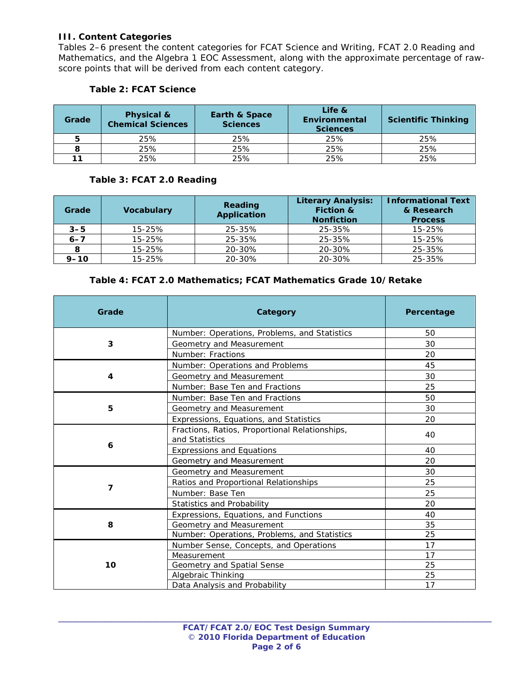## **III. Content Categories**

 $\overline{\phantom{a}}$ 

Tables 2–6 present the content categories for FCAT Science and Writing, FCAT 2.0 Reading and Mathematics, and the Algebra 1 EOC Assessment, along with the approximate percentage of rawscore points that will be derived from each content category.

| Grade | Physical &<br><b>Chemical Sciences</b> | <b>Earth &amp; Space</b><br><b>Sciences</b> | Life &<br>Environmental<br><b>Sciences</b> | <b>Scientific Thinking</b> |
|-------|----------------------------------------|---------------------------------------------|--------------------------------------------|----------------------------|
| 5     | 25%                                    | 25%                                         | 25%                                        | 25%                        |
|       | 25%                                    | 25%                                         | 25%                                        | 25%                        |
| 11    | 25%                                    | 25%                                         | 25%                                        | 25%                        |

#### **Table 2: FCAT Science**

## **Table 3: FCAT 2.0 Reading**

| Grade    | <b>Vocabulary</b> | Reading<br><b>Application</b> | <b>Literary Analysis:</b><br><b>Fiction &amp;</b><br><b>Nonfiction</b> | <b>Informational Text</b><br>& Research<br><b>Process</b> |
|----------|-------------------|-------------------------------|------------------------------------------------------------------------|-----------------------------------------------------------|
| $3 - 5$  | 15-25%            | 25-35%                        | 25-35%                                                                 | 15-25%                                                    |
| $6 - 7$  | 15-25%            | 25-35%                        | 25-35%                                                                 | 15-25%                                                    |
|          | $15 - 25%$        | 20-30%                        | 20-30%                                                                 | 25-35%                                                    |
| $9 - 10$ | 15-25%            | 20-30%                        | 20-30%                                                                 | 25-35%                                                    |

#### **Table 4: FCAT 2.0 Mathematics; FCAT Mathematics Grade 10/Retake**

| Grade | Category                                                         | Percentage |
|-------|------------------------------------------------------------------|------------|
|       | Number: Operations, Problems, and Statistics                     | 50         |
| 3     | Geometry and Measurement                                         | 30         |
|       | Number: Fractions                                                | 20         |
|       | Number: Operations and Problems                                  | 45         |
| 4     | Geometry and Measurement                                         | 30         |
|       | Number: Base Ten and Fractions                                   | 25         |
|       | Number: Base Ten and Fractions                                   | 50         |
| 5     | Geometry and Measurement                                         | 30         |
|       | Expressions, Equations, and Statistics                           | 20         |
|       | Fractions, Ratios, Proportional Relationships,<br>and Statistics | 40         |
| 6     | <b>Expressions and Equations</b>                                 | 40         |
|       | Geometry and Measurement                                         | 20         |
|       | Geometry and Measurement                                         | 30         |
|       | Ratios and Proportional Relationships                            | 25         |
| 7     | Number: Base Ten                                                 | 25         |
|       | Statistics and Probability                                       | 20         |
|       | Expressions, Equations, and Functions                            | 40         |
| 8     | Geometry and Measurement                                         | 35         |
|       | Number: Operations, Problems, and Statistics                     | 25         |
|       | Number Sense, Concepts, and Operations                           | 17         |
|       | Measurement                                                      | 17         |
| 10    | Geometry and Spatial Sense                                       | 25         |
|       | Algebraic Thinking                                               | 25         |
|       | Data Analysis and Probability                                    | 17         |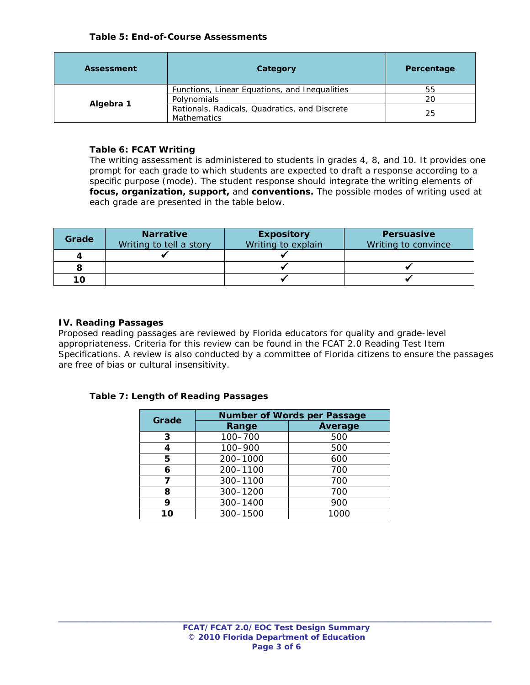| <b>Assessment</b> | Category                                      | Percentage |
|-------------------|-----------------------------------------------|------------|
|                   | Functions, Linear Equations, and Inequalities | 55         |
|                   | Polynomials                                   | 20         |
| Algebra 1         | Rationals, Radicals, Quadratics, and Discrete | 25         |
|                   | <b>Mathematics</b>                            |            |

## **Table 6: FCAT Writing**

*The writing assessment is administered to students in grades 4, 8, and 10. It provides one prompt for each grade to which students are expected to draft a response according to a specific purpose (mode). The student response should integrate the writing elements of focus, organization, support, and conventions. The possible modes of writing used at each grade are presented in the table below.* 

| Grade | <b>Narrative</b><br>Writing to tell a story | <b>Expository</b><br>Writing to explain | <b>Persuasive</b><br>Writing to convince |
|-------|---------------------------------------------|-----------------------------------------|------------------------------------------|
| 4     |                                             |                                         |                                          |
|       |                                             |                                         |                                          |
| 10    |                                             |                                         |                                          |

## **IV. Reading Passages**

Proposed reading passages are reviewed by Florida educators for quality and grade-level appropriateness. Criteria for this review can be found in the *FCAT 2.0 Reading Test Item Specifications.* A review is also conducted by a committee of Florida citizens to ensure the passages are free of bias or cultural insensitivity.

# **Table 7: Length of Reading Passages**

| Grade | <b>Number of Words per Passage</b> |         |  |  |
|-------|------------------------------------|---------|--|--|
|       | Range                              | Average |  |  |
| 3     | 100-700                            | 500     |  |  |
| 4     | 100-900                            | 500     |  |  |
| 5     | 200-1000                           | 600     |  |  |
| 6     | 200-1100                           | 700     |  |  |
| 7     | 300-1100                           | 700     |  |  |
| 8     | 300-1200                           | 700     |  |  |
| 9     | 300-1400                           | 900     |  |  |
| 10    | 300-1500                           | 1000    |  |  |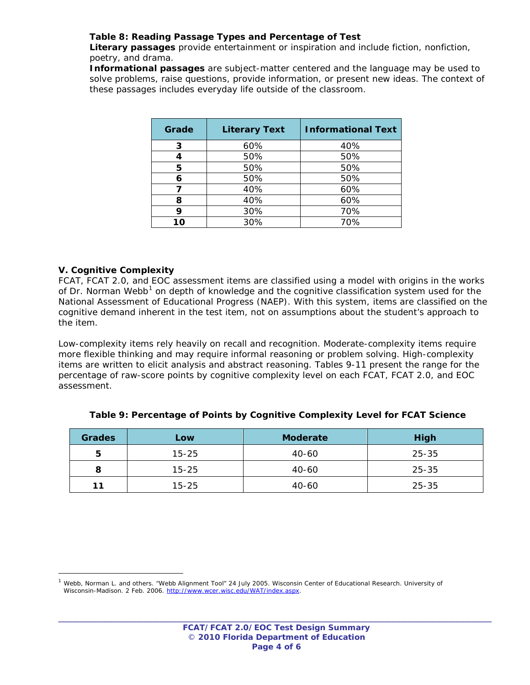## **Table 8: Reading Passage Types and Percentage of Test**

*Literary passages provide entertainment or inspiration and include fiction, nonfiction, poetry, and drama.* 

*Informational passages are subject-matter centered and the language may be used to*  solve problems, raise questions, provide information, or present new ideas. The context of *these passages includes everyday life outside of the classroom.*

| Grade | <b>Literary Text</b> | <b>Informational Text</b> |
|-------|----------------------|---------------------------|
| 3     | 60%                  | 40%                       |
| 4     | 50%                  | 50%                       |
| 5     | 50%                  | 50%                       |
| 6     | 50%                  | 50%                       |
|       | 40%                  | 60%                       |
| 8     | 40%                  | 60%                       |
| 9     | 30%                  | 70%                       |
| ın    | 30%                  | 70%                       |

## **V. Cognitive Complexity**

 $\overline{a}$ 

FCAT, FCAT 2.0, and EOC assessment items are classified using a model with origins in the works of Dr. Norman Webb<sup>[1](#page-3-0)</sup> on depth of knowledge and the cognitive classification system used for the National Assessment of Educational Progress (NAEP). With this system, items are classified on the cognitive demand inherent in the test item, not on assumptions about the student's approach to the item.

Low-complexity items rely heavily on recall and recognition. Moderate-complexity items require more flexible thinking and may require informal reasoning or problem solving. High-complexity items are written to elicit analysis and abstract reasoning. Tables 9-11 present the range for the percentage of raw-score points by cognitive complexity level on each FCAT, FCAT 2.0, and EOC assessment.

| <b>Grades</b> | Low       | <b>Moderate</b> | <b>High</b> |
|---------------|-----------|-----------------|-------------|
| 5             | $15 - 25$ | 40-60           | $25 - 35$   |
| 8             | $15 - 25$ | 40-60           | 25-35       |
| 11            | $15 - 25$ | 40-60           | $25 - 35$   |

**Table 9: Percentage of Points by Cognitive Complexity Level for FCAT Science** 

<span id="page-3-0"></span><sup>1</sup> Webb, Norman L. and others. "Webb Alignment Tool" 24 July 2005. Wisconsin Center of Educational Research. University of Wisconsin-Madison. 2 Feb. 2006. [http://www.wcer.wisc.edu/WAT/index.aspx.](http://www.wcer.wisc.edu/WAT/index.aspx)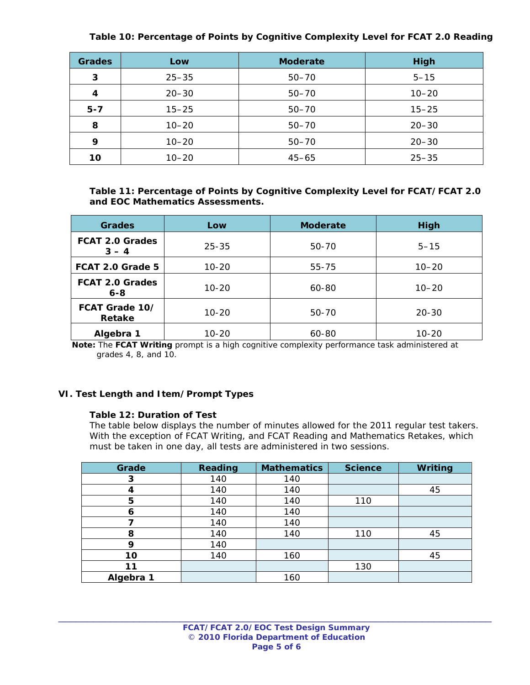#### **Table 10: Percentage of Points by Cognitive Complexity Level for FCAT 2.0 Reading**

| <b>Grades</b> | Low       | <b>Moderate</b> | <b>High</b> |
|---------------|-----------|-----------------|-------------|
| 3             | $25 - 35$ | $50 - 70$       | $5 - 15$    |
| 4             | $20 - 30$ | $50 - 70$       | $10 - 20$   |
| $5 - 7$       | $15 - 25$ | $50 - 70$       | $15 - 25$   |
| 8             | $10 - 20$ | $50 - 70$       | $20 - 30$   |
| 9             | $10 - 20$ | $50 - 70$       | $20 - 30$   |
| 10            | $10 - 20$ | $45 - 65$       | $25 - 35$   |

**Table 11: Percentage of Points by Cognitive Complexity Level for FCAT/FCAT 2.0 and EOC Mathematics Assessments.** 

| <b>Grades</b>                     | Low       | <b>Moderate</b> | High      |
|-----------------------------------|-----------|-----------------|-----------|
| <b>FCAT 2.0 Grades</b><br>$3 - 4$ | $25 - 35$ | 50-70           | $5 - 15$  |
| FCAT 2.0 Grade 5                  | $10 - 20$ | 55-75           | $10 - 20$ |
| <b>FCAT 2.0 Grades</b><br>$6 - 8$ | $10 - 20$ | 60-80           | $10 - 20$ |
| FCAT Grade 10/<br>Retake          | $10 - 20$ | 50-70           | $20 - 30$ |
| Algebra 1                         | 10-20     | 60-80           | $10 - 20$ |

 **Note:** The **FCAT Writing** prompt is a high cognitive complexity performance task administered at grades 4, 8, and 10.

#### **VI. Test Length and Item/Prompt Types**

#### **Table 12: Duration of Test**

*The table below displays the number of minutes allowed for the 2011 regular test takers. With the exception of FCAT Writing, and FCAT Reading and Mathematics Retakes, which must be taken in one day, all tests are administered in two sessions.*

| Grade     | <b>Reading</b> | <b>Mathematics</b> | <b>Science</b> | Writing |
|-----------|----------------|--------------------|----------------|---------|
| 3         | 140            | 140                |                |         |
| 4         | 140            | 140                |                | 45      |
| 5         | 140            | 140                | 110            |         |
| 6         | 140            | 140                |                |         |
|           | 140            | 140                |                |         |
| 8         | 140            | 140                | 110            | 45      |
| 9         | 140            |                    |                |         |
| 10        | 140            | 160                |                | 45      |
| 11        |                |                    | 130            |         |
| Algebra 1 |                | 160                |                |         |